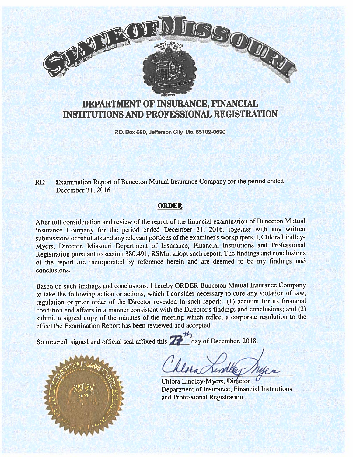

# DEPARTMENT OF INSURANCE, FINANCIAL INSTITUTIONS AND PROFESSIONAL REGISTRATION

P.O. Box 690, Jefferson City, Mo. 65102-0690

RE: Examination Report of Bunceton Mutual Insurance Company for the period ended December 31, 2016

## ORDER

After full consideration and review of the repor<sup>t</sup> of the financial examination of Bunceton Mutual Insurance Company for the period ended December 31. 2016, together with any written submissions or rebuttals and any relevant portions of the examiner's workpapers, I, Chlora Lindley Myers. Director. Missouri Department of Insurance, Financial Institutions and Professional Registration pursuan<sup>t</sup> to section 380.491, RSMo. adopt such report. The findings and conclusions of the repor<sup>t</sup> are incorporated by reference herein and are deemed to be my findings and conclusions.

Based on such findings and conclusions, <sup>I</sup> hereby ORDER Bunceton Mutual Insurance Company to take the following action or actions, which <sup>I</sup> consider necessary to cure any violation of law, regulation or prior order of the Director revealed in such report: (1) account for its financial condition and affairs in <sup>a</sup> manner consistent with the Director's findings and conclusions; and (2) submit <sup>a</sup> signed copy of the minutes of the meeting which reflect <sup>a</sup> corporate resolution to the effect the Examination Report has been reviewed and accepted.

So ordered, signed and official seal affixed this  $\sum_{n=1}^{\infty}$  day of December, 2018.



here Line

Chiora Lindley-Myers, Di Department of Insurance, Financial Institutions and Professional Registration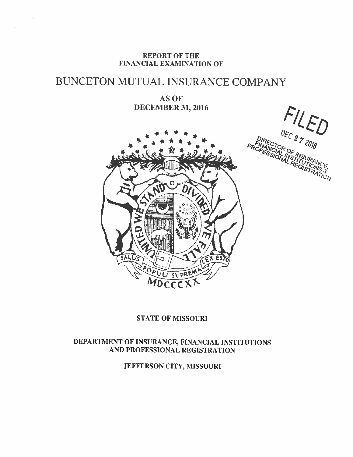REPORT OF THE FINANCIAL EXAMINATION OF

91

# BUNCETON MUTUAL INSURANCE COMPANY

AS OF DECEMBER 31, 2016

 $FLED$ 



## STATE OF MISSOURI

## DEPARTMENT OF INSURANCE, FINANCIAL INSTITUTIONS AND PROFESSIONAL REGISTRATION

JEFFERSON CITY, MISSOURI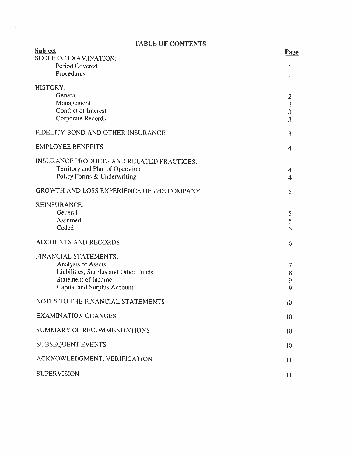# TABLE OF CONTENTS

 $\overline{\mathbb{R}}$ 

| <b>Subject</b><br><b>SCOPE OF EXAMINATION:</b>                     | Page                     |
|--------------------------------------------------------------------|--------------------------|
| Period Covered<br>Procedures                                       |                          |
| HISTORY:                                                           |                          |
| General                                                            | $\overline{2}$           |
| Management<br>Conflict of Interest                                 | $\frac{2}{3}$            |
| Corporate Records                                                  | $\overline{3}$           |
| FIDELITY BOND AND OTHER INSURANCE                                  | $\mathfrak{Z}$           |
| <b>EMPLOYEE BENEFITS</b>                                           | 4                        |
| <b>INSURANCE PRODUCTS AND RELATED PRACTICES:</b>                   |                          |
| Territory and Plan of Operation<br>Policy Forms & Underwriting     | 4                        |
|                                                                    | 4                        |
| GROWTH AND LOSS EXPERIENCE OF THE COMPANY                          | 5                        |
| REINSURANCE:                                                       |                          |
| General<br>Assumed                                                 | 5                        |
| Ceded                                                              | 5<br>5                   |
| <b>ACCOUNTS AND RECORDS</b>                                        | 6                        |
| FINANCIAL STATEMENTS:                                              |                          |
| Analysis of Assets                                                 | $\overline{\phantom{a}}$ |
| Liabilities, Surplus and Other Funds<br><b>Statement of Income</b> | $8\,$                    |
| <b>Capital and Surplus Account</b>                                 | 9<br>9                   |
| NOTES TO THE FINANCIAL STATEMENTS                                  | 10                       |
| <b>EXAMINATION CHANGES</b>                                         | 10                       |
| <b>SUMMARY OF RECOMMENDATIONS</b>                                  | 10                       |
| <b>SUBSEQUENT EVENTS</b>                                           | 10                       |
| ACKNOWLEDGMENT, VERIFICATION                                       | 11                       |
| <b>SUPERVISION</b>                                                 | 11                       |
|                                                                    |                          |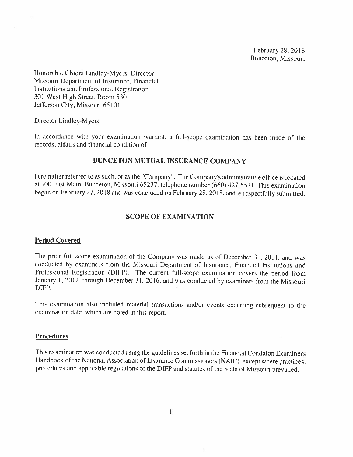February 28, 2018 Bunceton, Missouri

ጜ

Honorable Chiora Lindley-Myers, Director Missouri Department of Insurance. Financial Institutions and Professional Registration 301 Wcst High Street. Room 530 Jefferson City, Missouri 65101

Director Lindley-Myers:

In accordance with your examination warrant, a full-scope examination has been made of the records, affairs and financial condition of

#### BUNCETON MUTUAl. INSURANCE COMPANY

hereinafter referred to as such, or as the ''Company''. The Company's administrative office is located at 100 East Main, Bunceton, Missouri 65237, telephone number (660) 427-5521. This examination began on February 27, 2018 and was concluded on February 28, 2018, and is respectfully submitted.

### SCOPE OF EXAMINATION

#### Period Covered

The prior full-scope examination of the Company was made as of December 31, 2011, and was conducied by examiners from the Missouri Department of Insurance. Financial Institutions and Professional Registration (DIFP). The current full-scope examination covers the period from January I, 2012, through December 31. 2016, and was conducted by examiners from the Missouri DIFP.

This examination also included material transactions and/or events occurring subsequent to the examination date. which are noted in this report.

#### **Procedures**

This examination was conducted using the guidelines set forth in the Financial Condition Examiners Handbook of the National Association of Insurance Commissioners (NAIC), except where practices, procedures and applicable regulations of the DIFP and statutes of the State of Missouri prevailed.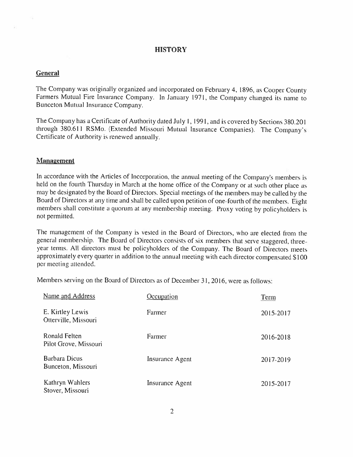## **HISTORY**

#### **General**

The Company was originally organized and incorporated on February 4. 1896. as Cooper Count Farmers Mutual Fire Insurance Company. In January 1971, the Company changed its name to Bunceton Mutual Insurance Company.

The Company has <sup>a</sup> Certificate of Authority dated July I, 1991, and is covered by Sections <sup>380201</sup> through 380.611 RSMo. (Extended Missouri Mutual Insurance Companies). The Company's Certificate of Authority is renewed annually.

#### Management

In accordance with the Articles of Incorporation, the annual meeting of the Company's members is held on the fourth Thursday in March at the home office of the Company or at such other <sup>p</sup>lace as may be designated by the Board of Directors. Special meetings of the members may be called by the Board of Directors at any time and shall be called upon petition of one-fourth of the members. Eight members shall constitute <sup>a</sup> quorum at any membership meeting. Proxy voting by policyholders is not permitted.

The management of the Company is vested in the Board of Directors, who are elected from the general membership. The Board of Directors consists of six members that serve staggered. three year terms. All directors must be policyholders of the Company. The Board of Directors meets approximately every quarter in addition to the annual meeting with each director compensated <sup>S</sup> <sup>100</sup> per meeting attended.

Members serving on the Board of Directors as of December 31, 2016, were as follows:

| Name and Address                         | Occupation             | <b>Term</b> |
|------------------------------------------|------------------------|-------------|
| E. Kirtley Lewis<br>Otterville, Missouri | Farmer                 | 2015-2017   |
| Ronald Felten<br>Pilot Grove, Missouri   | Farmer                 | 2016-2018   |
| Barbara Dicus<br>Bunceton, Missouri      | <b>Insurance Agent</b> | 2017-2019   |
| Kathryn Wahlers<br>Stover, Missouri      | Insurance Agent        | 2015-2017   |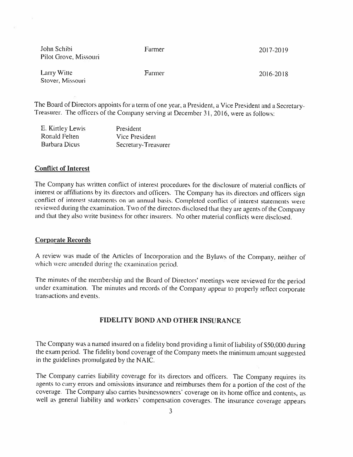| John Schibi<br>Pilot Grove, Missouri | Farmer | 2017-2019 |
|--------------------------------------|--------|-----------|
| Larry Witte<br>Stover, Missouri      | Farmer | 2016-2018 |

The Board of Directors appoints for a term of one year, a President, a Vice President and a Secretary-Treasurer. The officers of the Company serving at December 31, 2016. were as follows:

| E. Kirtley Lewis | President           |
|------------------|---------------------|
| Ronald Felten    | Vice President      |
| Barbara Dicus    | Secretary-Treasurer |

#### Conflict of Interest

The Company has written conflict of interest procedures for the disclosure of material conflicts of interest or affiliations by its directors and officers. The Company has its directors and officers sign conflict of interest statements on an annual basis. Completed conflict of interest statements were reviewed during the examination. Two of the directors disclosed that they are agents of the Company and that they also write business for other insurers. No other material conflicts were disclosed.

#### Corporate Records

A review was made of the Articles of Incorporation and the Bylaws of the Company, neither of which were amended during the examination period.

The minutes of the membership and the Board of Directors' meetings were reviewed for the period under examination. The minutes and records of the Company appear to properly reflect corporate transactions and events.

## FIDELITY BOND AND OTHER INSURANCE

The Company was <sup>a</sup> named insured on <sup>a</sup> fidelity bond providing <sup>a</sup> limit of liability of 550,000 during the exam period. The fidelity bond coverage of the Company meets the minimum amount suggested in the guidelines promulgated by the NAIC.

The Company carries liability coverage for its directors and oftieers. The Company requires its agents to carry errors and omissions insurance and reimburses them for <sup>a</sup> portion of the cost of the coverage. The Company also carries husinessowners' coverage on its home office and contents, as well as general liability and workers' compensation coverages. The insurance coverage appears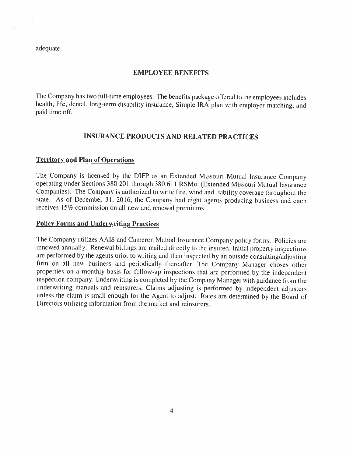adequate.

## EMPLOYEE BENEFITS

The Company has two full-time employees. The benefits package offered to the employees includes health, life, dental, long-term disability insurance, Simple IRA plan with employer matching, and paid time off.

## INSURANCE PRODUCTS AND RELATED PRACTICES

## Territory and Plan of Operations

The Company is licensed by the DIFP as an Extended Missouri Mutual Insurance Company operating under Sections 380.201 through 380.611 RSMo. (Extended Missouri Mutual Insurance Companies). The Company is authorized to write fire, wind and liability coverage throughout the state. As of December 31, 2016, the Company had eight agents producing business and each receives 15% commission on all new and renewal premiums.

#### Policy Forms and Underwriting Practices

The Company utilizes AAIS and Cameron Mutual Insurance Company policy forms. Policies are renewed annually. Renewal billings are mailed directly to the insured. Initial property inspections are performed by the agents prior to writing and then inspected by an outside consulting/adjusting firm on all new business and periodically thereafter. The Company Manager choses other properties on <sup>a</sup> monthly basis for follow—up inspections that are performed by the independent inspection company. Lnderwriting is completed by the Company Manager with guidance from the underwriting manuals and reinsurers. Claims adjusting is performed by independent adjusters unless the claim is small enoug<sup>h</sup> for the Agent to adjust. Rates are determined by the Board of Directors utilizing information from the nmrket and reinsurers.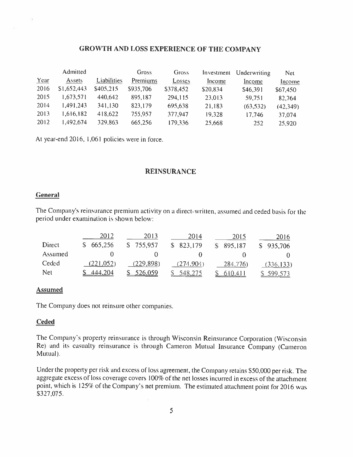## GROWTH AND LOSS EXPERIENCE OF THE COMPANY

|      | Admitted    |             | <b>Gross</b> | <b>Gross</b> | Investment | Underwriting | Net       |
|------|-------------|-------------|--------------|--------------|------------|--------------|-----------|
| Year | Assets      | Liabilities | Premiums     | Losses       | Income     | Income       | Income    |
| 2016 | \$1,652,443 | \$405,215   | \$935,706    | \$378,452    | \$20,834   | \$46,391     | \$67,450  |
| 2015 | 1,673,571   | 440,642     | 895,187      | 294,115      | 23,013     | 59,751       | 82,764    |
| 2014 | 1,491.243   | 341,130     | 823,179      | 695,638      | 21,183     | (63, 532)    | (42, 349) |
| 2013 | 1,616,182   | 418,622     | 755,957      | 377,947      | 19,328     | 17.746       | 37,074    |
| 2012 | 1,492,674   | 329,863     | 665,256      | 179,336      | 25,668     | 252          | 25,920    |

At year-end 2016, 1,061 policies were in force.

## REINSURANCE

## General

×

The Company's reinsurance premium activity on a direct-written, assumed and ceded basis for the period under examination is shown below:

|         | 2012      | 2013           | 2014       | 2015       | 2016       |
|---------|-----------|----------------|------------|------------|------------|
| Direct  | 665,256   | \$755,957      | \$823,179  | \$ 895,187 | \$935,706  |
| Assumed |           |                |            |            |            |
| Ceded   | (221.052) | (229, 898)     | (274, 904) | 284,776)   | (336, 133) |
| Net     | 444,204   | <u>526,059</u> | 548,275    |            | 599.573    |

#### **Assumed**

The Company does not reinsure other companies.

## Ceded

The Company's property reinsuranee is through Wisconsin Reinsurance Corporation (Wisconsin Re) and its casualty reinsuranee is through Cameron Mutual Insurance Company (Cameron Mutual).

Under the property per risk and excess of loss agreement, the Company retains \$50,000 per risk. The aggregate excess of loss coverage covers I 009 of the net losses incurred in excess of the attachment point, which is 125% of the Company's net premium. The estimated attachment point for 2016 was S327.075,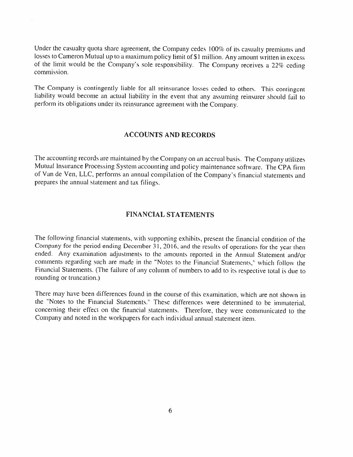Under the casualty quota share agreement, the Company cedes 100% of its casualty premiums and losses to Cameron Mutual up to <sup>a</sup> maximum policy limit of SI million. Any amount written in excess of the limit would be the Company's sole responsibility. The Company receives a 22% ceding commission.

The Company is contingently liable for all reinsurance losses ceded to others. This contingent liability would become an actual liability in the event that any assuming reinsurer should fail to perform its obligations under its reinsurance agreement with the Company.

#### ACCOUNTS AND RECORDS

The accounting records are maintained by the Company on an accrual basis. The Company utilizes Mutual Insurance Processing System accounting and policy maintenance software. The CPA firm of Van de Ven, LLC, performs an annual compilation of the Company's financial statements and prepares the annual statement and tax filings.

## FINANCIAL STATEMENTS

The following financial statements, with supporting exhibits, present die financial condition of the Company for the period ending December 31, 2016, and the results of operations for the year then ended. Any examination adjustments to the amounts reported in the Annual Statement and/or comments regarding such are made in the "Notes to the Financial Statements," which follow the Financial Statements. (The failure of any column of numbers to add to its respective total is due to rounding or truncation.)

There may have been differences found in the course of this examination, which are not shown in the 'Notes to the Financial Statements." These differences were determined to he immaterial, concerning their effect on the financial statements. Therefore, they were communicated to the Company and noted in the workpapers for each individaal annual statement item.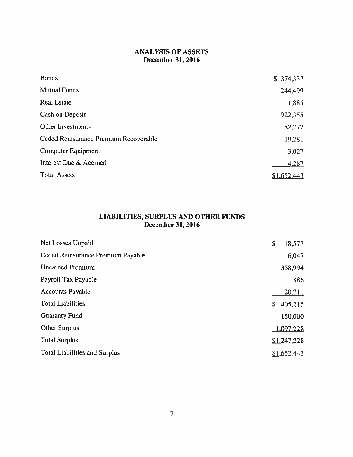## ANALYSIS OF ASSETS December 31, 2016

| <b>Bonds</b>                          | \$374,337   |
|---------------------------------------|-------------|
| <b>Mutual Funds</b>                   | 244,499     |
| <b>Real Estate</b>                    | 1,885       |
| Cash on Deposit                       | 922,355     |
| <b>Other Investments</b>              | 82,772      |
| Ceded Reinsurance Premium Recoverable | 19,281      |
| Computer Equipment                    | 3,027       |
| Interest Due & Accrued                | 4,287       |
| <b>Total Assets</b>                   | \$1,652,443 |

### LIABILITIES, SURPLUS AND OTHER FUNDS December 31, 2016

| Net Losses Unpaid                    | \$<br>18,577       |
|--------------------------------------|--------------------|
| Ceded Reinsurance Premium Payable    | 6,047              |
| <b>Unearned Premium</b>              | 358,994            |
| Payroll Tax Payable                  | 886                |
| <b>Accounts Payable</b>              | 20,711             |
| <b>Total Liabilities</b>             | \$<br>405,215      |
| <b>Guaranty Fund</b>                 | 150,000            |
| Other Surplus                        | 1,097,228          |
| <b>Total Surplus</b>                 | \$1,247,228        |
| <b>Total Liabilities and Surplus</b> | <u>\$1,652,443</u> |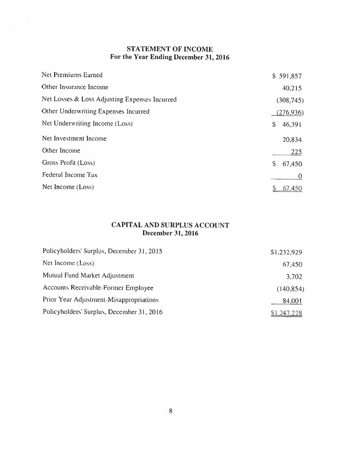# STATEMENT OF INCOME For the Year Ending December 31, 2016

 $\tilde{\gamma}(\tilde{q})$ 

 $\mathcal{N}$  :

|              | \$591,857     |
|--------------|---------------|
|              | 40,215        |
|              | (308, 745)    |
|              | (276, 936)    |
| \$           | 46,391        |
|              | 20,834        |
|              | 225           |
| $\mathsf{S}$ | 67,450        |
|              | $\bf{0}$      |
|              | <u>67,450</u> |
|              |               |

## CAPITAL AND SURPLUS ACCOUNT December 31, 2016

| Policyholders' Surplus, December 31, 2015 | \$1,232,929 |
|-------------------------------------------|-------------|
| Net Income (Loss)                         | 67,450      |
| Mutual Fund Market Adjustment             | 3,702       |
| Accounts Receivable-Former Employee       | (140, 854)  |
| Prior Year Adjustment-Misappropriations   | 84,001      |
| Policyholders' Surplus, December 31, 2016 | \$1,247,228 |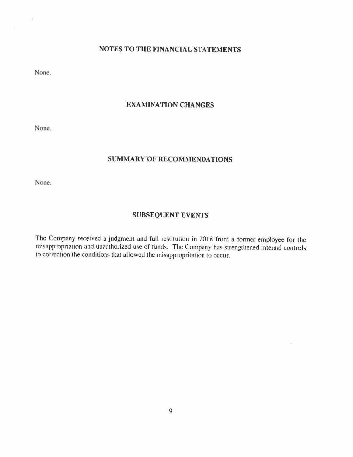# NOTES TO THE FINANCIAL STATEMENTS

None.

 $\sim$ 

## EXAMINATION CHANGES

None.

## SUMMARY OF RECOMMENDATIONS

None.

## SUBSEQUENT EVENTS

The Company received a judgment and full restitution in 2018 from a former employee for the misappropriation and unauthorized use of funds. The Company has strengthened internal controls to correction the conditions that allowed the misappropritation to occur.

 $\langle \tilde{\phi} \rangle$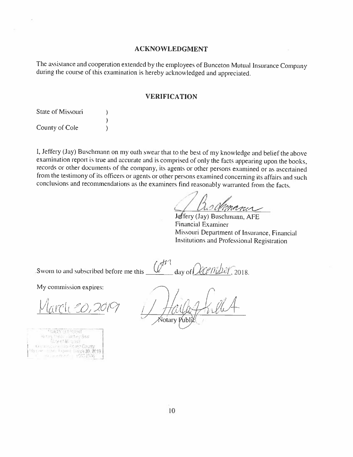#### ACKNOWLEDGMENT

The assistance and cooperation extended by the employees of Bunceton Mutual Insurance Company during the course of this examination is hereby acknowledged and appreciated.

#### VERIFICATION

| State of Missouri |  |
|-------------------|--|
|                   |  |
| County of Cole    |  |

I, Jeffery (Jay) Buschmann on my oath swear that to the best of my knowledge and belief the above examination report is true and accurate and is comprised of only the facts appearing upon the books, records or other documents of the company, its agents or other persons examined or as ascertained from the testimony of its officers or agents or other persons examined concerning its affairs and such conclusions and recommendations as the examiners find reasonably warranted from the facts.

day of  $\mathcal{A}\mathcal{C}$  mass 2018

Jeffery (Jay) Buschmann, AFE Financial Examiner Missouri Department of Insurance, Financial Institutions and Professional Registration

Sworn to and subscribed before me this

My commission expires:

 $V |_{\alpha}$ rch 20, 2019

**TEACHY LESSING AT** ry tahlin Aletary Seip bre chi sosi una misu Perano County diri. Francia Biarch 30, 2019 Smooth 2060

Notarv

 $\mathcal{M}$